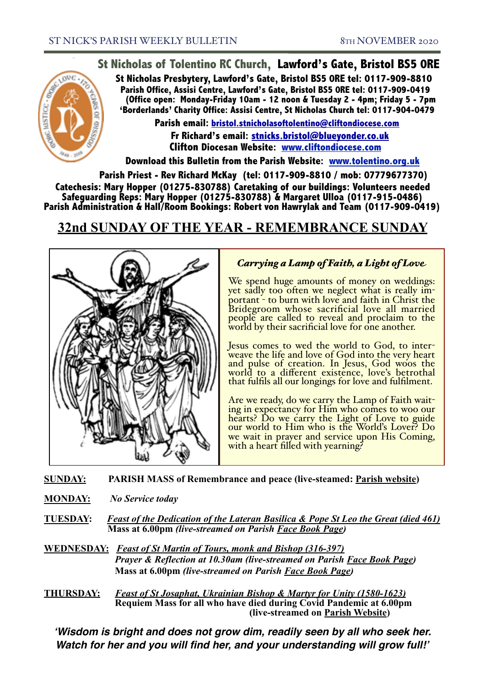## **St Nicholas of Tolentino RC Church, Lawford's Gate, Bristol BS5 0RE**

**St Nicholas Presbytery, Lawford's Gate, Bristol BS5 0RE tel: 0117-909-8810 Parish Office, Assisi Centre, Lawford's Gate, Bristol BS5 0RE tel: 0117-909-0419 (Office open: Monday-Friday 10am - 12 noon & Tuesday 2 - 4pm; Friday 5 - 7pm 'Borderlands' Charity Office: Assisi Centre, St Nicholas Church tel: 0117-904-0479**

**Parish email: [bristol.stnicholasoftolentino@cliftondiocese.com](mailto:bristol.stnicholasoftolentino@cliftondiocese.com) Fr Richard's email: [stnicks.bristol@blueyonder.co.uk](mailto:stnicks.bristol@blueyonder.co.uk) Clifton Diocesan Website: [www.cliftondiocese.com](http://www.cliftondiocese.com)**

**Download this Bulletin from the Parish Website: [www.tolentino.org.uk](http://www.cliftondiocese.com) Parish Priest - Rev Richard McKay (tel: 0117-909-8810 / mob: 07779677370) Catechesis: Mary Hopper (01275-830788) Caretaking of our buildings: Volunteers needed Safeguarding Reps: Mary Hopper (01275-830788) & Margaret Ulloa (0117-915-0486) Parish Administration & Hall/Room Bookings: Robert von Hawrylak and Team (0117-909-0419)**

# **32nd SUNDAY OF THE YEAR - REMEMBRANCE SUNDAY**



## *Carrying a Lamp of Faith, a Light of Love*

We spend huge amounts of money on weddings: yet sadly too often we neglect what is really important - to burn with love and faith in Christ the Bridegroom whose sacrificial love all married people are called to reveal and proclaim to the world by their sacrificial love for one another.

Jesus comes to wed the world to God, to inter- weave the life and love of God into the very heart and pulse of creation. In Jesus, God woos the world to a different existence, love's betrothal that fulfils all our longings for love and fulfilment.

Are we ready, do we carry the Lamp of Faith wait- ing in expectancy for Him who comes to woo our hearts? Do we carry the Light of Love to guide our world to Him who is the World's Lover? Do we wait in prayer and service upon His Coming, with a heart filled with yearning?

**SUNDAY: PARISH MASS of Remembrance and peace (live-steamed: Parish website)** 

- **MONDAY:** *No Service today*
- **TUESDAY:** *Feast of the Dedication of the Lateran Basilica & Pope St Leo the Great (died 461)*  **Mass at 6.00pm** *(live-streamed on Parish Face Book Page)*

**WEDNESDAY:** *Feast of St Martin of Tours, monk and Bishop (316-397) Prayer & Reflection at 10.30am (live-streamed on Parish Face Book Page)* **Mass at 6.00pm** *(live-streamed on Parish Face Book Page)*

**THURSDAY:** *Feast of St Josaphat, Ukrainian Bishop & Martyr for Unity (1580-1623)* **Requiem Mass for all who have died during Covid Pandemic at 6.00pm (live-streamed on Parish Website)**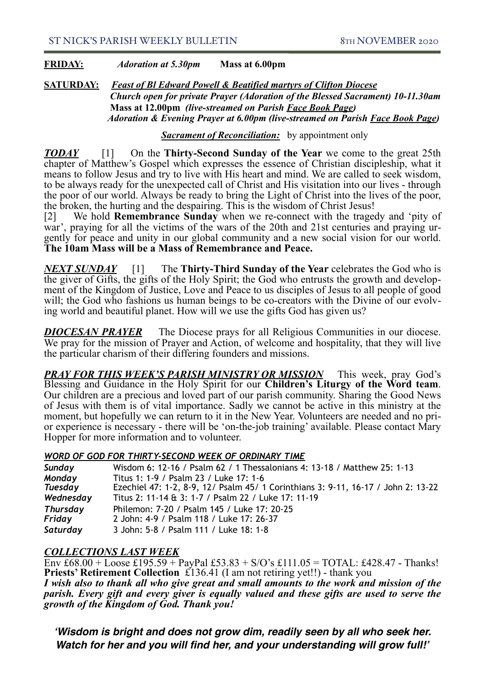### **FRIDAY:** *Adoration at 5.30pm* **Mass at 6.00pm**

**SATURDAY:** *Feast of Bl Edward Powell & Beatified martyrs of Clifton Diocese Church open for private Prayer (Adoration of the Blessed Sacrament) 10-11.30am* **Mass at 12.00pm** *(live-streamed on Parish Face Book Page)*  *Adoration & Evening Prayer at 6.00pm (live-streamed on Parish Face Book Page)* 

### *Sacrament of Reconciliation:* by appointment only

*TODAY* [1] On the **Thirty-Second Sunday of the Year** we come to the great 25th chapter of Matthew's Gospel which expresses the essence of Christian discipleship, what it means to follow Jesus and try to live with His heart and mind. We are called to seek wisdom, to be always ready for the unexpected call of Christ and His visitation into our lives - through the poor of our world. Always be ready to bring the Light of Christ into the lives of the poor, the broken, the hurting and the despairing. This is the wisdom of Christ Jesus!

[2] We hold **Remembrance Sunday** when we re-connect with the tragedy and 'pity of war', praying for all the victims of the wars of the 20th and 21st centuries and praying urgently for peace and unity in our global community and a new social vision for our world. **The 10am Mass will be a Mass of Remembrance and Peace.** 

*NEXT SUNDAY* [1] The **Thirty-Third Sunday of the Year** celebrates the God who is the giver of Gifts, the gifts of the Holy Spirit; the God who entrusts the growth and development of the Kingdom of Justice, Love and Peace to us disciples of Jesus to all people of good will; the God who fashions us human beings to be co-creators with the Divine of our evolving world and beautiful planet. How will we use the gifts God has given us?

**DIOCESAN PRAYER** The Diocese prays for all Religious Communities in our diocese. We pray for the mission of Prayer and Action, of welcome and hospitality, that they will live the particular charism of their differing founders and missions.

*PRAY FOR THIS WEEK'S PARISH MINISTRY OR MISSION* This week, pray God's Blessing and Guidance in the Holy Spirit for our **Children's Liturgy of the Word team**. Our children are a precious and loved part of our parish community. Sharing the Good News of Jesus with them is of vital importance. Sadly we cannot be active in this ministry at the moment, but hopefully we can return to it in the New Year. Volunteers are needed and no prior experience is necessary - there will be 'on-the-job training' available. Please contact Mary Hopper for more information and to volunteer.

#### l, *WORD OF GOD FOR THIRTY-SECOND WEEK OF ORDINARY TIME*

| Sunday          | Wisdom 6: 12-16 / Psalm 62 / 1 Thessalonians 4: 13-18 / Matthew 25: 1-13          |
|-----------------|-----------------------------------------------------------------------------------|
| Monday          | Titus 1: 1-9 / Psalm 23 / Luke 17: 1-6                                            |
| <b>Tuesday</b>  | Ezechiel 47: 1-2, 8-9, 12/ Psalm 45/ 1 Corinthians 3: 9-11, 16-17 / John 2: 13-22 |
| Wednesday       | Titus 2: 11-14 & 3: 1-7 / Psalm 22 / Luke 17: 11-19                               |
| <b>Thursday</b> | Philemon: 7-20 / Psalm 145 / Luke 17: 20-25                                       |
| Friday          | 2 John: 4-9 / Psalm 118 / Luke 17: 26-37                                          |
| Saturday        | 3 John: 5-8 / Psalm 111 / Luke 18: 1-8                                            |

## *COLLECTIONS LAST WEEK*

Env  $£68.00 + LovesE195.59 + PayPal £53.83 + S/O's £111.05 = TOTAL: £428.47 - Thanks!$ **Priests' Retirement Collection** £136.41 (I am not retiring yet!!) - thank you *I wish also to thank all who give great and small amounts to the work and mission of the parish. Every gift and every giver is equally valued and these gifts are used to serve the growth of the Kingdom of God. Thank you!*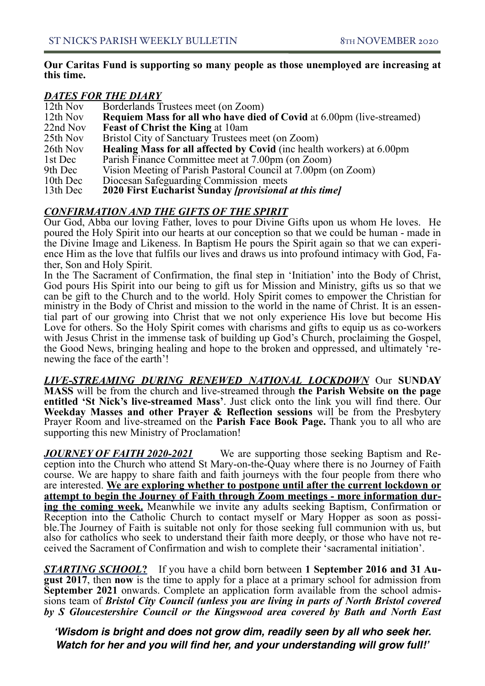### **Our Caritas Fund is supporting so many people as those unemployed are increasing at this time.**

### *DATES FOR THE DIARY*

| 12th Nov | Borderlands Trustees meet (on Zoom)                                          |
|----------|------------------------------------------------------------------------------|
| 12th Nov | <b>Requiem Mass for all who have died of Covid at 6.00pm (live-streamed)</b> |
| 22nd Nov | <b>Feast of Christ the King at 10am</b>                                      |
| 25th Nov | Bristol City of Sanctuary Trustees meet (on Zoom)                            |
| 26th Nov | <b>Healing Mass for all affected by Covid</b> (inc health workers) at 6.00pm |
| 1st Dec  | Parish Finance Committee meet at 7.00pm (on Zoom)                            |
| 9th Dec  | Vision Meeting of Parish Pastoral Council at 7.00pm (on Zoom)                |
| 10th Dec | Diocesan Safeguarding Commission meets                                       |
| 13th Dec | 2020 First Eucharist Sunday <i>[provisional at this time]</i>                |

## *CONFIRMATION AND THE GIFTS OF THE SPIRIT*

Our God, Abba our loving Father, loves to pour Divine Gifts upon us whom He loves. He poured the Holy Spirit into our hearts at our conception so that we could be human - made in the Divine Image and Likeness. In Baptism He pours the Spirit again so that we can experience Him as the love that fulfils our lives and draws us into profound intimacy with God, Father, Son and Holy Spirit.

In the The Sacrament of Confirmation, the final step in 'Initiation' into the Body of Christ, God pours His Spirit into our being to gift us for Mission and Ministry, gifts us so that we can be gift to the Church and to the world. Holy Spirit comes to empower the Christian for ministry in the Body of Christ and mission to the world in the name of Christ. It is an essential part of our growing into Christ that we not only experience His love but become His Love for others. So the Holy Spirit comes with charisms and gifts to equip us as co-workers with Jesus Christ in the immense task of building up God's Church, proclaiming the Gospel, the Good News, bringing healing and hope to the broken and oppressed, and ultimately 're- newing the face of the earth'!

*LIVE-STREAMING DURING RENEWED NATIONAL LOCKDOWN* Our **SUNDAY MASS** will be from the church and live-streamed through **the Parish Website on the page entitled 'St Nick's live-streamed Mass'**. Just click onto the link you will find there. Our **Weekday Masses and other Prayer & Reflection sessions** will be from the Presbytery Prayer Room and live-streamed on the **Parish Face Book Page.** Thank you to all who are supporting this new Ministry of Proclamation!

*JOURNEY OF FAITH 2020-2021* We are supporting those seeking Baptism and Reception into the Church who attend St Mary-on-the-Quay where there is no Journey of Faith course. We are happy to share faith and faith journeys with the four people from there who are interested. **We are exploring whether to postpone until after the current lockdown or attempt to begin the Journey of Faith through Zoom meetings - more information during the coming week.** Meanwhile we invite any adults seeking Baptism, Confirmation or Reception into the Catholic Church to contact myself or Mary Hopper as soon as possible.The Journey of Faith is suitable not only for those seeking full communion with us, but also for catholics who seek to understand their faith more deeply, or those who have not re- ceived the Sacrament of Confirmation and wish to complete their 'sacramental initiation'.

*STARTING SCHOOL***?** If you have a child born between **1 September 2016 and 31 Au- gust 2017**, then **now** is the time to apply for a place at a primary school for admission from **September 2021** onwards. Complete an application form available from the school admis- sions team of *Bristol City Council (unless you are living in parts of North Bristol covered by S Gloucestershire Council or the Kingswood area covered by Bath and North East*